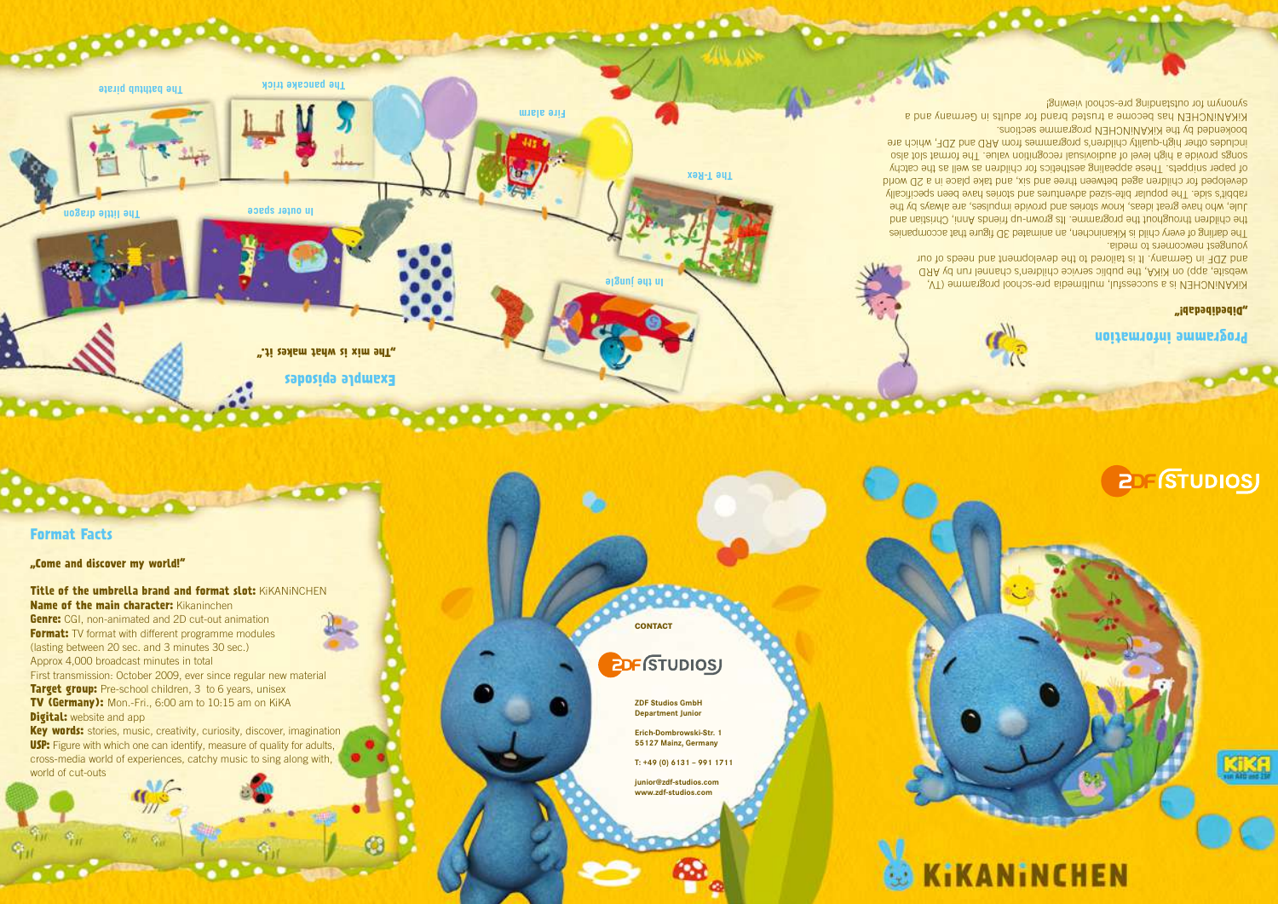### **Programme information**

KiKANiNCHEN is a successful, multimedia pre-school programme (TV, website, app) on KiKA, the public service children's channel run by ARD and ZDF in Germany. It is tailored to the development and needs of our

#### **"Dibedibedab!"**

**Genre:** CGI, non-animated and 2D cut-out animation **Format:** TV format with different programme modules (lasting between 20 sec. and 3 minutes 30 sec.) Approx 4,000 broadcast minutes in total First transmission: October 2009, ever since regular new material **Target group:** Pre-school children, 3 to 6 years, unisex **TV (Germany):** Mon.-Fri., 6:00 am to 10:15 am on KiKA **Digital:** website and app

youngest newcomers to media. The darling of every child at Mikaninchen, an animated 3D figure that accompanies the children throughout the programme. Its grown-up friends Anni, Christian and Jule, who have great ideas, know stories and provide impulses, are always by the rabbit's side. The popular bite-sized adventures and stories have been specifically developed for children aged between three and six, and take place in a 2D world of paper snippets. These appealing aesthetics for children as well as the catchy songs provide a high level of audiovisual recognition value. The format slot also includes other high-quality children's programmes from ARD and ZDF, which are bookended by the KiKANiNCHEN programme sections. KiKANiNCHEN has become a trusted brand for adults in Germany and a

synoud in outstanding pre-school viewing!

**Key words:** stories, music, creativity, curiosity, discover, imagination **USP:** Figure with which one can identify, measure of quality for adults, cross-media world of experiences, catchy music to sing along with,

**Format Facts**

world of cut-outs

**"Come and discover my world!"**

**Title of the umbrella brand and format slot:** KiKANiNCHEN **Name of the main character:** Kikaninchen

**Example episodes**

**"The mix is what makes it."** 

**The little dragon**

**The bathtub pirate The pancake trick**

**Fire alarm**

**STORY OF BUILDING** 

**The T-Rex**

# **NINCHEN**



和甜

**In outer space** 

**In the jungle**

**CONTACT**

**ZDF Studios GmbH Department Junior**

## **<u>EDFISTUDIOSJ</u>**

**Erich-Dombrowski-Str. 1 55127 Mainz, Germany**

**T: +49 (0) 6131 – 991 1711**



**junior@zdf-studios.com www.zdf-studios.com**